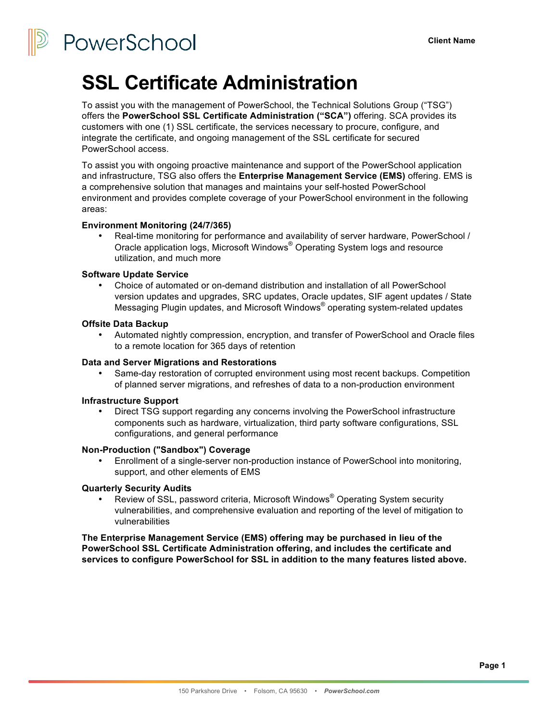PowerSchool

## **SSL Certificate Administration**

To assist you with the management of PowerSchool, the Technical Solutions Group ("TSG") offers the **PowerSchool SSL Certificate Administration ("SCA")** offering. SCA provides its customers with one (1) SSL certificate, the services necessary to procure, configure, and integrate the certificate, and ongoing management of the SSL certificate for secured PowerSchool access.

To assist you with ongoing proactive maintenance and support of the PowerSchool application and infrastructure, TSG also offers the **Enterprise Management Service (EMS)** offering. EMS is a comprehensive solution that manages and maintains your self-hosted PowerSchool environment and provides complete coverage of your PowerSchool environment in the following areas:

## **Environment Monitoring (24/7/365)**

• Real-time monitoring for performance and availability of server hardware, PowerSchool / Oracle application logs, Microsoft Windows® Operating System logs and resource utilization, and much more

## **Software Update Service**

• Choice of automated or on-demand distribution and installation of all PowerSchool version updates and upgrades, SRC updates, Oracle updates, SIF agent updates / State Messaging Plugin updates, and Microsoft Windows® operating system-related updates

## **Offsite Data Backup**

• Automated nightly compression, encryption, and transfer of PowerSchool and Oracle files to a remote location for 365 days of retention

#### **Data and Server Migrations and Restorations**

Same-day restoration of corrupted environment using most recent backups. Competition of planned server migrations, and refreshes of data to a non-production environment

#### **Infrastructure Support**

• Direct TSG support regarding any concerns involving the PowerSchool infrastructure components such as hardware, virtualization, third party software configurations, SSL configurations, and general performance

#### **Non-Production ("Sandbox") Coverage**

• Enrollment of a single-server non-production instance of PowerSchool into monitoring, support, and other elements of EMS

## **Quarterly Security Audits**

Review of SSL, password criteria, Microsoft Windows<sup>®</sup> Operating System security vulnerabilities, and comprehensive evaluation and reporting of the level of mitigation to vulnerabilities

**The Enterprise Management Service (EMS) offering may be purchased in lieu of the PowerSchool SSL Certificate Administration offering, and includes the certificate and services to configure PowerSchool for SSL in addition to the many features listed above.**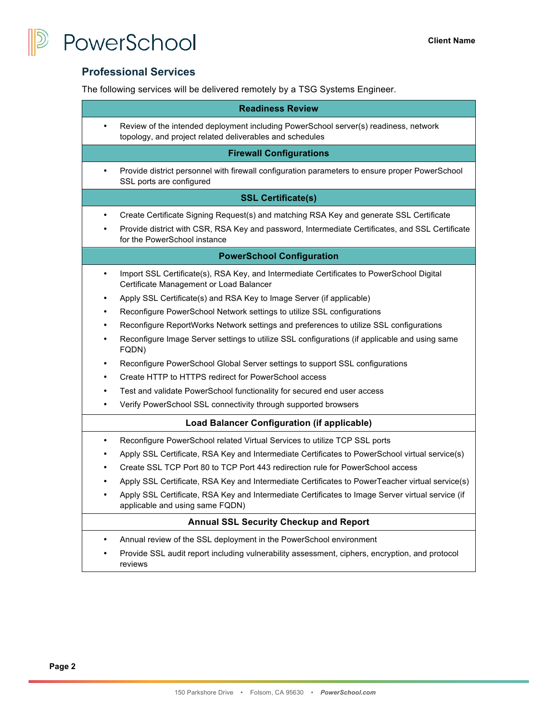



## **Professional Services**

The following services will be delivered remotely by a TSG Systems Engineer.

| <b>Readiness Review</b>                            |                                                                                                                                                  |  |
|----------------------------------------------------|--------------------------------------------------------------------------------------------------------------------------------------------------|--|
|                                                    | Review of the intended deployment including PowerSchool server(s) readiness, network<br>topology, and project related deliverables and schedules |  |
| <b>Firewall Configurations</b>                     |                                                                                                                                                  |  |
|                                                    | Provide district personnel with firewall configuration parameters to ensure proper PowerSchool<br>SSL ports are configured                       |  |
| <b>SSL Certificate(s)</b>                          |                                                                                                                                                  |  |
| $\bullet$                                          | Create Certificate Signing Request(s) and matching RSA Key and generate SSL Certificate                                                          |  |
|                                                    | Provide district with CSR, RSA Key and password, Intermediate Certificates, and SSL Certificate<br>for the PowerSchool instance                  |  |
| <b>PowerSchool Configuration</b>                   |                                                                                                                                                  |  |
| $\bullet$                                          | Import SSL Certificate(s), RSA Key, and Intermediate Certificates to PowerSchool Digital<br>Certificate Management or Load Balancer              |  |
| ٠                                                  | Apply SSL Certificate(s) and RSA Key to Image Server (if applicable)                                                                             |  |
| $\bullet$                                          | Reconfigure PowerSchool Network settings to utilize SSL configurations                                                                           |  |
| $\bullet$                                          | Reconfigure ReportWorks Network settings and preferences to utilize SSL configurations                                                           |  |
| ٠                                                  | Reconfigure Image Server settings to utilize SSL configurations (if applicable and using same<br>FQDN)                                           |  |
|                                                    | Reconfigure PowerSchool Global Server settings to support SSL configurations                                                                     |  |
|                                                    | Create HTTP to HTTPS redirect for PowerSchool access                                                                                             |  |
| $\bullet$                                          | Test and validate PowerSchool functionality for secured end user access                                                                          |  |
|                                                    | Verify PowerSchool SSL connectivity through supported browsers                                                                                   |  |
| <b>Load Balancer Configuration (if applicable)</b> |                                                                                                                                                  |  |
| $\bullet$                                          | Reconfigure PowerSchool related Virtual Services to utilize TCP SSL ports                                                                        |  |
|                                                    | Apply SSL Certificate, RSA Key and Intermediate Certificates to PowerSchool virtual service(s)                                                   |  |
|                                                    | Create SSL TCP Port 80 to TCP Port 443 redirection rule for PowerSchool access                                                                   |  |
|                                                    | Apply SSL Certificate, RSA Key and Intermediate Certificates to PowerTeacher virtual service(s)                                                  |  |
|                                                    | Apply SSL Certificate, RSA Key and Intermediate Certificates to Image Server virtual service (if<br>applicable and using same FQDN)              |  |
| <b>Annual SSL Security Checkup and Report</b>      |                                                                                                                                                  |  |
| $\bullet$                                          | Annual review of the SSL deployment in the PowerSchool environment                                                                               |  |
|                                                    | Provide SSL audit report including vulnerability assessment, ciphers, encryption, and protocol<br>reviews                                        |  |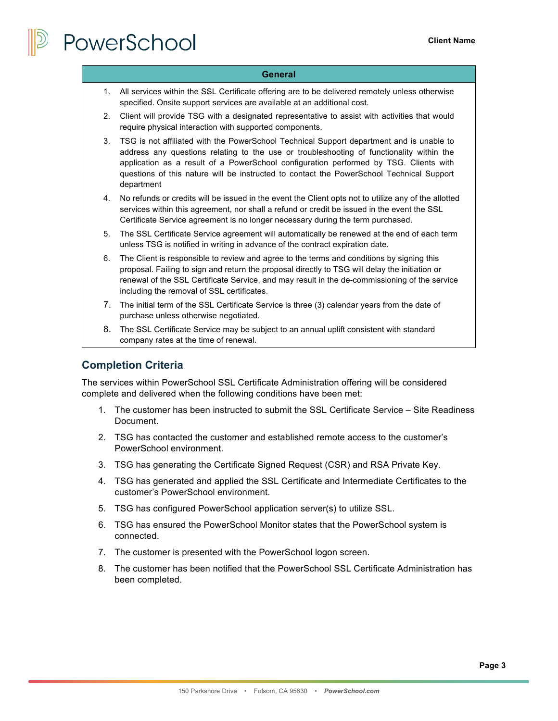# PowerSchool

#### **General**

- 1. All services within the SSL Certificate offering are to be delivered remotely unless otherwise specified. Onsite support services are available at an additional cost.
- 2. Client will provide TSG with a designated representative to assist with activities that would require physical interaction with supported components.
- 3. TSG is not affiliated with the PowerSchool Technical Support department and is unable to address any questions relating to the use or troubleshooting of functionality within the application as a result of a PowerSchool configuration performed by TSG. Clients with questions of this nature will be instructed to contact the PowerSchool Technical Support department
- 4. No refunds or credits will be issued in the event the Client opts not to utilize any of the allotted services within this agreement, nor shall a refund or credit be issued in the event the SSL Certificate Service agreement is no longer necessary during the term purchased.
- 5. The SSL Certificate Service agreement will automatically be renewed at the end of each term unless TSG is notified in writing in advance of the contract expiration date.
- 6. The Client is responsible to review and agree to the terms and conditions by signing this proposal. Failing to sign and return the proposal directly to TSG will delay the initiation or renewal of the SSL Certificate Service, and may result in the de-commissioning of the service including the removal of SSL certificates.
- 7. The initial term of the SSL Certificate Service is three (3) calendar years from the date of purchase unless otherwise negotiated.
- 8. The SSL Certificate Service may be subject to an annual uplift consistent with standard company rates at the time of renewal.

## **Completion Criteria**

The services within PowerSchool SSL Certificate Administration offering will be considered complete and delivered when the following conditions have been met:

- 1. The customer has been instructed to submit the SSL Certificate Service Site Readiness Document.
- 2. TSG has contacted the customer and established remote access to the customer's PowerSchool environment.
- 3. TSG has generating the Certificate Signed Request (CSR) and RSA Private Key.
- 4. TSG has generated and applied the SSL Certificate and Intermediate Certificates to the customer's PowerSchool environment.
- 5. TSG has configured PowerSchool application server(s) to utilize SSL.
- 6. TSG has ensured the PowerSchool Monitor states that the PowerSchool system is connected.
- 7. The customer is presented with the PowerSchool logon screen.
- 8. The customer has been notified that the PowerSchool SSL Certificate Administration has been completed.